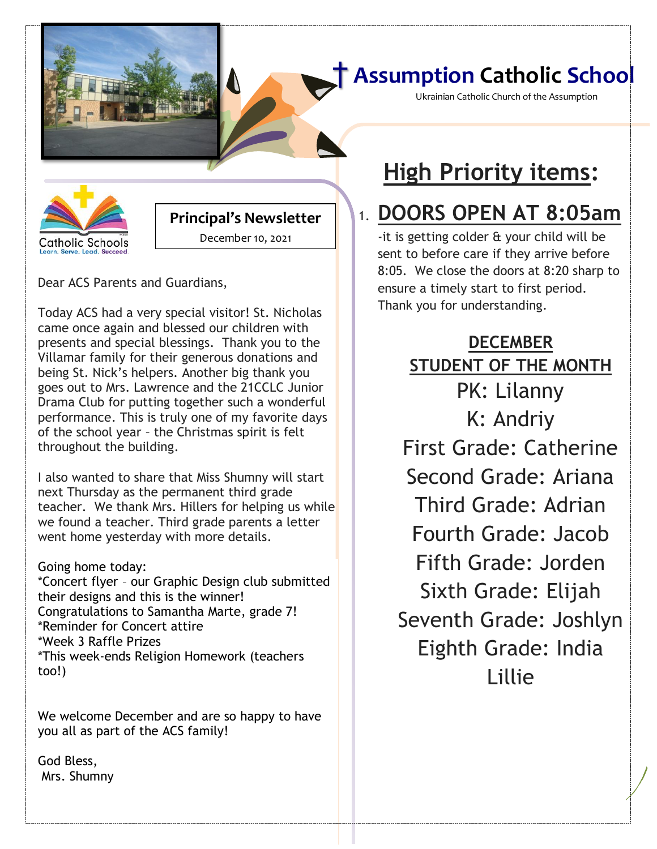### † **Assumption Catholic School**

Ukrainian Catholic Church of the Assumption



#### **Principal's Newsletter**  December 10, 2021

Dear ACS Parents and Guardians,

Today ACS had a very special visitor! St. Nicholas came once again and blessed our children with presents and special blessings. Thank you to the Villamar family for their generous donations and being St. Nick's helpers. Another big thank you goes out to Mrs. Lawrence and the 21CCLC Junior Drama Club for putting together such a wonderful performance. This is truly one of my favorite days of the school year – the Christmas spirit is felt throughout the building.

I also wanted to share that Miss Shumny will start next Thursday as the permanent third grade teacher. We thank Mrs. Hillers for helping us while we found a teacher. Third grade parents a letter went home yesterday with more details.

Going home today: \*Concert flyer – our Graphic Design club submitted their designs and this is the winner! Congratulations to Samantha Marte, grade 7! \*Reminder for Concert attire \*Week 3 Raffle Prizes \*This week-ends Religion Homework (teachers too!)

We welcome December and are so happy to have you all as part of the ACS family!

God Bless, Mrs. Shumny

# **High Priority items:**

**[Date]**

# 1. **DOORS OPEN AT 8:05am**

-it is getting colder & your child will be sent to before care if they arrive before 8:05. We close the doors at 8:20 sharp to ensure a timely start to first period. Thank you for understanding.

**DECEMBER STUDENT OF THE MONTH** PK: Lilanny K: Andriy First Grade: Catherine Second Grade: Ariana Third Grade: Adrian Fourth Grade: Jacob Fifth Grade: Jorden Sixth Grade: Elijah Seventh Grade: Joshlyn Eighth Grade: India Lillie